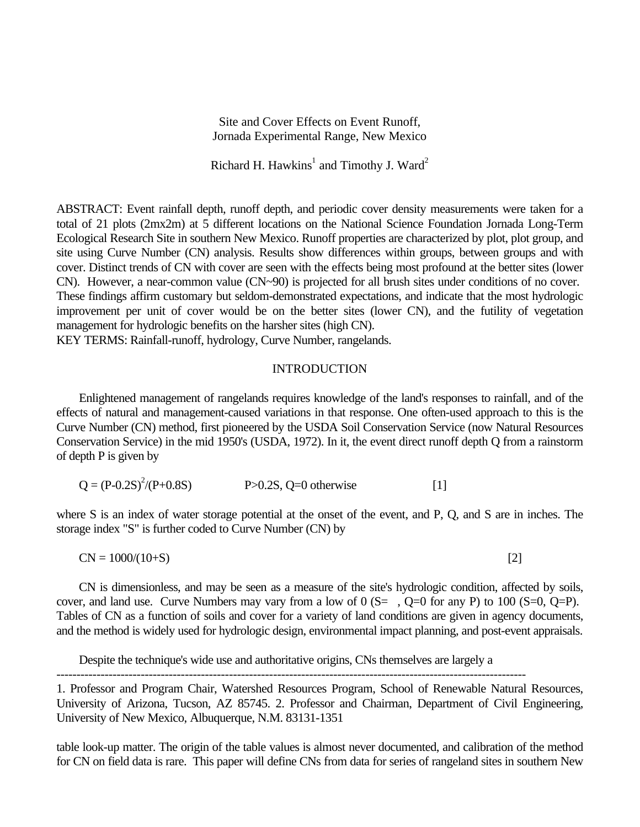Site and Cover Effects on Event Runoff, Jornada Experimental Range, New Mexico

Richard H. Hawkins<sup>1</sup> and Timothy J. Ward<sup>2</sup>

ABSTRACT: Event rainfall depth, runoff depth, and periodic cover density measurements were taken for a total of 21 plots (2mx2m) at 5 different locations on the National Science Foundation Jornada Long-Term Ecological Research Site in southern New Mexico. Runoff properties are characterized by plot, plot group, and site using Curve Number (CN) analysis. Results show differences within groups, between groups and with cover. Distinct trends of CN with cover are seen with the effects being most profound at the better sites (lower CN). However, a near-common value (CN~90) is projected for all brush sites under conditions of no cover. These findings affirm customary but seldom-demonstrated expectations, and indicate that the most hydrologic improvement per unit of cover would be on the better sites (lower CN), and the futility of vegetation management for hydrologic benefits on the harsher sites (high CN).

KEY TERMS: Rainfall-runoff, hydrology, Curve Number, rangelands.

## INTRODUCTION

Enlightened management of rangelands requires knowledge of the land's responses to rainfall, and of the effects of natural and management-caused variations in that response. One often-used approach to this is the Curve Number (CN) method, first pioneered by the USDA Soil Conservation Service (now Natural Resources Conservation Service) in the mid 1950's (USDA, 1972). In it, the event direct runoff depth Q from a rainstorm of depth P is given by

$$
Q = (P-0.2S)^{2}/(P+0.8S)
$$
 P>0.2S, Q=0 otherwise [1]

where S is an index of water storage potential at the onset of the event, and P, Q, and S are in inches. The storage index "S" is further coded to Curve Number (CN) by

 $CN = 1000/(10+S)$  [2]

CN is dimensionless, and may be seen as a measure of the site's hydrologic condition, affected by soils, cover, and land use. Curve Numbers may vary from a low of  $0$  (S=, Q=0 for any P) to 100 (S=0, Q=P). Tables of CN as a function of soils and cover for a variety of land conditions are given in agency documents, and the method is widely used for hydrologic design, environmental impact planning, and post-event appraisals.

Despite the technique's wide use and authoritative origins, CNs themselves are largely a

---------------------------------------------------------------------------------------------------------------------

1. Professor and Program Chair, Watershed Resources Program, School of Renewable Natural Resources, University of Arizona, Tucson, AZ 85745. 2. Professor and Chairman, Department of Civil Engineering, University of New Mexico, Albuquerque, N.M. 83131-1351

table look-up matter. The origin of the table values is almost never documented, and calibration of the method for CN on field data is rare. This paper will define CNs from data for series of rangeland sites in southern New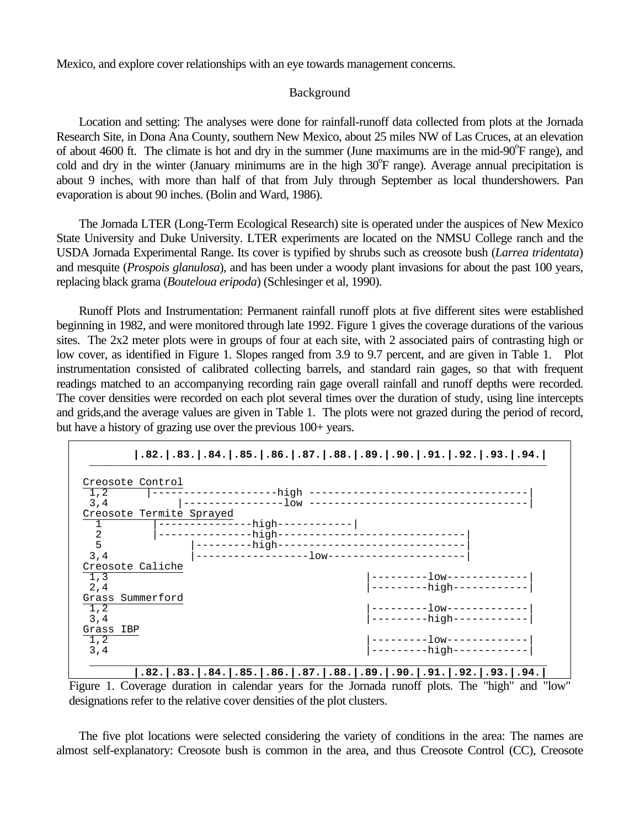Mexico, and explore cover relationships with an eye towards management concerns.

# Background

Location and setting: The analyses were done for rainfall-runoff data collected from plots at the Jornada Research Site, in Dona Ana County, southern New Mexico, about 25 miles NW of Las Cruces, at an elevation of about 4600 ft. The climate is hot and dry in the summer (June maximums are in the mid-90°F range), and cold and dry in the winter (January minimums are in the high 30°F range). Average annual precipitation is about 9 inches, with more than half of that from July through September as local thundershowers. Pan evaporation is about 90 inches. (Bolin and Ward, 1986).

The Jornada LTER (Long-Term Ecological Research) site is operated under the auspices of New Mexico State University and Duke University. LTER experiments are located on the NMSU College ranch and the USDA Jornada Experimental Range. Its cover is typified by shrubs such as creosote bush (*Larrea tridentata*) and mesquite (*Prospois glanulosa*), and has been under a woody plant invasions for about the past 100 years, replacing black grama (*Bouteloua eripoda*) (Schlesinger et al, 1990).

Runoff Plots and Instrumentation: Permanent rainfall runoff plots at five different sites were established beginning in 1982, and were monitored through late 1992. Figure 1 gives the coverage durations of the various sites. The 2x2 meter plots were in groups of four at each site, with 2 associated pairs of contrasting high or low cover, as identified in Figure 1. Slopes ranged from 3.9 to 9.7 percent, and are given in Table 1. Plot instrumentation consisted of calibrated collecting barrels, and standard rain gages, so that with frequent readings matched to an accompanying recording rain gage overall rainfall and runoff depths were recorded. The cover densities were recorded on each plot several times over the duration of study, using line intercepts and grids,and the average values are given in Table 1. The plots were not grazed during the period of record, but have a history of grazing use over the previous 100+ years.



Figure 1. Coverage duration in calendar years for the Jornada runoff plots. The "high" and "low" designations refer to the relative cover densities of the plot clusters.

The five plot locations were selected considering the variety of conditions in the area: The names are almost self-explanatory: Creosote bush is common in the area, and thus Creosote Control (CC), Creosote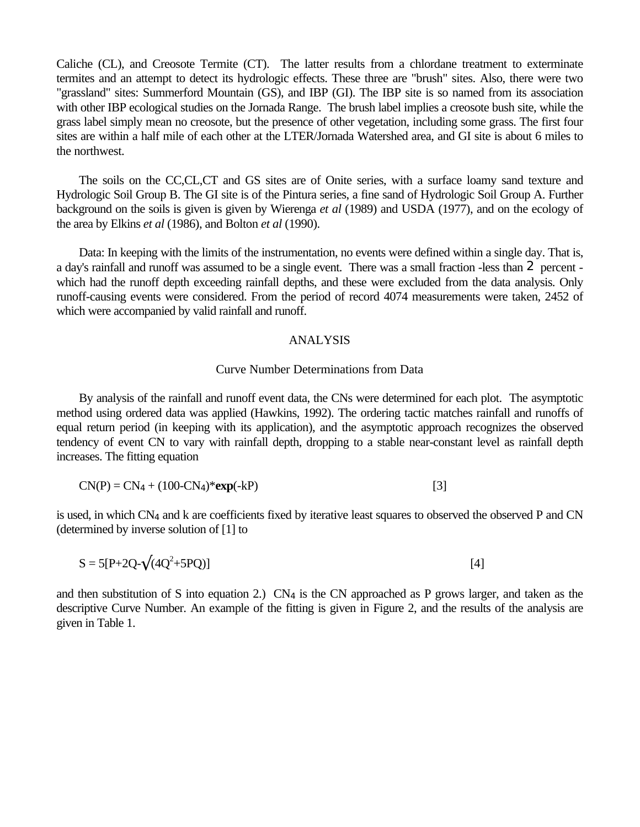Caliche (CL), and Creosote Termite (CT). The latter results from a chlordane treatment to exterminate termites and an attempt to detect its hydrologic effects. These three are "brush" sites. Also, there were two "grassland" sites: Summerford Mountain (GS), and IBP (GI). The IBP site is so named from its association with other IBP ecological studies on the Jornada Range. The brush label implies a creosote bush site, while the grass label simply mean no creosote, but the presence of other vegetation, including some grass. The first four sites are within a half mile of each other at the LTER/Jornada Watershed area, and GI site is about 6 miles to the northwest.

The soils on the CC,CL,CT and GS sites are of Onite series, with a surface loamy sand texture and Hydrologic Soil Group B. The GI site is of the Pintura series, a fine sand of Hydrologic Soil Group A. Further background on the soils is given is given by Wierenga *et al* (1989) and USDA (1977), and on the ecology of the area by Elkins *et al* (1986), and Bolton *et al* (1990).

Data: In keeping with the limits of the instrumentation, no events were defined within a single day. That is, a day's rainfall and runoff was assumed to be a single event. There was a small fraction -less than 2 percent which had the runoff depth exceeding rainfall depths, and these were excluded from the data analysis. Only runoff-causing events were considered. From the period of record 4074 measurements were taken, 2452 of which were accompanied by valid rainfall and runoff.

#### ANALYSIS

#### Curve Number Determinations from Data

By analysis of the rainfall and runoff event data, the CNs were determined for each plot. The asymptotic method using ordered data was applied (Hawkins, 1992). The ordering tactic matches rainfall and runoffs of equal return period (in keeping with its application), and the asymptotic approach recognizes the observed tendency of event CN to vary with rainfall depth, dropping to a stable near-constant level as rainfall depth increases. The fitting equation

$$
CN(P) = CN4 + (100-CN4)* exp(-kP)
$$
 [3]

is used, in which CN4 and k are coefficients fixed by iterative least squares to observed the observed P and CN (determined by inverse solution of [1] to

$$
S = 5[P + 2Q - \sqrt{(4Q^2 + 5PQ)}]
$$
 [4]

and then substitution of S into equation 2.)  $CN<sub>4</sub>$  is the CN approached as P grows larger, and taken as the descriptive Curve Number. An example of the fitting is given in Figure 2, and the results of the analysis are given in Table 1.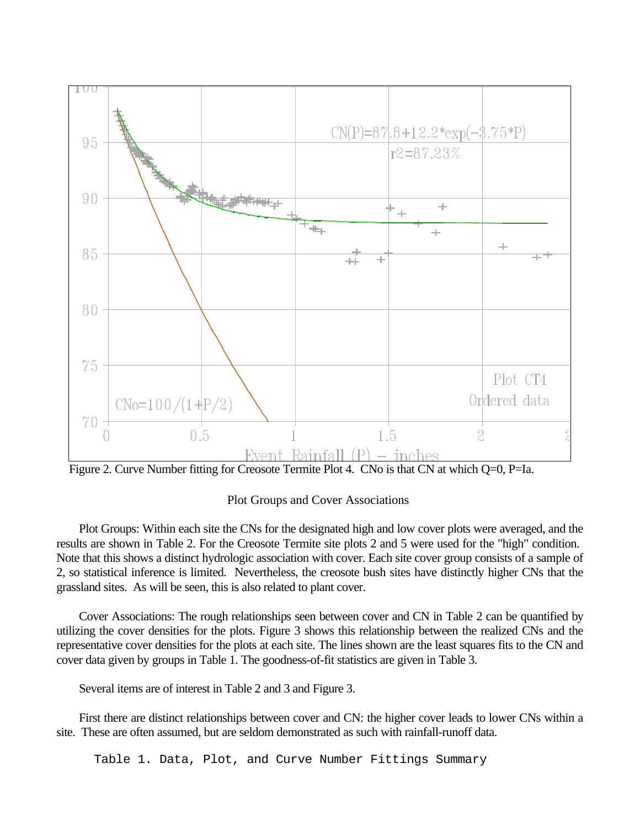

Figure 2. Curve Number fitting for Creosote Termite Plot 4. CNo is that CN at which Q=0, P=Ia.

Plot Groups and Cover Associations

Plot Groups: Within each site the CNs for the designated high and low cover plots were averaged, and the results are shown in Table 2. For the Creosote Termite site plots 2 and 5 were used for the "high" condition. Note that this shows a distinct hydrologic association with cover. Each site cover group consists of a sample of 2, so statistical inference is limited. Nevertheless, the creosote bush sites have distinctly higher CNs that the grassland sites. As will be seen, this is also related to plant cover.

Cover Associations: The rough relationships seen between cover and CN in Table 2 can be quantified by utilizing the cover densities for the plots. Figure 3 shows this relationship between the realized CNs and the representative cover densities for the plots at each site. The lines shown are the least squares fits to the CN and cover data given by groups in Table 1. The goodness-of-fit statistics are given in Table 3.

Several items are of interest in Table 2 and 3 and Figure 3.

First there are distinct relationships between cover and CN: the higher cover leads to lower CNs within a site. These are often assumed, but are seldom demonstrated as such with rainfall-runoff data.

Table 1. Data, Plot, and Curve Number Fittings Summary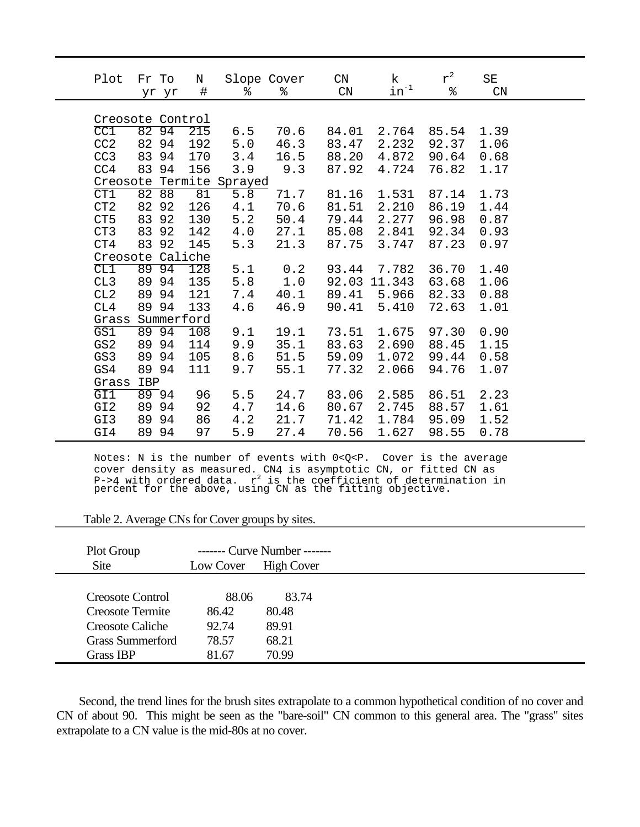| Plot             | Fr To | yr yr | Ν<br>$\#$  | Slope Cover<br>ႜ         | ∻    | $\mathop{\rm CN}\nolimits$<br>$\mathcal{C}N$ | k<br>$\text{in}^{-1}$ | $r^2$<br>% | SE<br>$\mathrm{CN}$ |  |
|------------------|-------|-------|------------|--------------------------|------|----------------------------------------------|-----------------------|------------|---------------------|--|
| Creosote Control |       |       |            |                          |      |                                              |                       |            |                     |  |
|                  |       |       |            |                          |      |                                              |                       |            |                     |  |
| CC1              |       | 82 94 | 215        | 6.5                      | 70.6 | 84.01                                        | 2.764                 | 85.54      | 1.39                |  |
| CC2              |       | 82 94 | 192        | 5.0                      | 46.3 | 83.47                                        | 2.232                 | 92.37      | 1.06                |  |
| CC3              | 83 94 |       | 170        | 3.4                      | 16.5 | 88.20                                        | 4.872                 | 90.64      | 0.68                |  |
| CC <sub>4</sub>  | 83 94 |       | 156        | 3.9                      | 9.3  | 87.92                                        | 4.724                 | 76.82      | 1.17                |  |
|                  |       |       |            | Creosote Termite Sprayed |      |                                              |                       |            |                     |  |
| CT1              | 82    | 88    | 81         | 5.8                      | 71.7 | 81.16                                        | 1.531                 | 87.14      | 1.73                |  |
| CT2              |       | 82 92 | 126        | 4.1                      | 70.6 | 81.51                                        | 2.210                 | 86.19      | 1.44                |  |
| CT <sub>5</sub>  |       | 83 92 | 130        | 5.2                      | 50.4 | 79.44                                        | 2.277                 | 96.98      | 0.87                |  |
| CT3              | 83 92 |       | 142        | 4.0                      | 27.1 | 85.08                                        | 2.841                 | 92.34      | 0.93                |  |
| CT4              | 83    | 92    | 145        | 5.3                      | 21.3 | 87.75                                        | 3.747                 | 87.23      | 0.97                |  |
| Creosote Caliche |       |       |            |                          |      |                                              |                       |            |                     |  |
| CL1              | 89    | 94    | 128        | 5.1                      | 0.2  | 93.44                                        | 7.782                 | 36.70      | 1.40                |  |
| CL3              |       | 89 94 | 135        | 5.8                      | 1.0  | 92.03                                        | 11.343                | 63.68      | 1.06                |  |
| CL2              |       | 89 94 | 121        | 7.4                      | 40.1 | 89.41                                        | 5.966                 | 82.33      | 0.88                |  |
| CL4              | 89 94 |       | 133        | 4.6                      | 46.9 | 90.41                                        | 5.410                 | 72.63      | 1.01                |  |
| Grass            |       |       | Summerford |                          |      |                                              |                       |            |                     |  |
| GS1              |       | 89 94 | 108        | 9.1                      | 19.1 | 73.51                                        | 1.675                 | 97.30      | 0.90                |  |
| GS <sub>2</sub>  |       | 89 94 | 114        | 9.9                      | 35.1 | 83.63                                        | 2.690                 | 88.45      | 1.15                |  |
| GS3              |       | 89 94 | 105        | 8.6                      | 51.5 | 59.09                                        | 1.072                 | 99.44      | 0.58                |  |
| GS4              |       | 89 94 | 111        | 9.7                      | 55.1 | 77.32                                        | 2.066                 | 94.76      | 1.07                |  |
| Grass            | IBP   |       |            |                          |      |                                              |                       |            |                     |  |
| GII              |       | 89.94 | 96         | 5.5                      | 24.7 | 83.06                                        | 2.585                 | 86.51      | 2.23                |  |
| GI <sub>2</sub>  | 89 94 |       | 92         | 4.7                      | 14.6 | 80.67                                        | 2.745                 | 88.57      | 1.61                |  |
| GI3              | 89 94 |       | 86         | 4.2                      | 21.7 | 71.42                                        | 1.784                 | 95.09      | 1.52                |  |
| GI4              |       | 89 94 | 97         | 5.9                      | 27.4 | 70.56                                        | 1.627                 | 98.55      | 0.78                |  |

Notes: N is the number of events with 0<Q<P. Cover is the average cover density as measured. CN4 is asymptotic CN, or fitted CN as P->4 with ordered data. r<sup>2</sup> is the coefficient of determination in<br>percent for the above, using CN as the fitting objective.

| Table 2. Average CNs for Cover groups by sites. |  |  |  |
|-------------------------------------------------|--|--|--|
|                                                 |  |  |  |

| Plot Group              |           | ------- Curve Number ------- |  |
|-------------------------|-----------|------------------------------|--|
| <b>Site</b>             | Low Cover | <b>High Cover</b>            |  |
|                         |           |                              |  |
| <b>Creosote Control</b> | 88.06     | 83.74                        |  |
| Creosote Termite        | 86.42     | 80.48                        |  |
| Creosote Caliche        | 92.74     | 89.91                        |  |
| <b>Grass Summerford</b> | 78.57     | 68.21                        |  |
| Grass IBP               | 81.67     | 70.99                        |  |

Second, the trend lines for the brush sites extrapolate to a common hypothetical condition of no cover and CN of about 90. This might be seen as the "bare-soil" CN common to this general area. The "grass" sites extrapolate to a CN value is the mid-80s at no cover.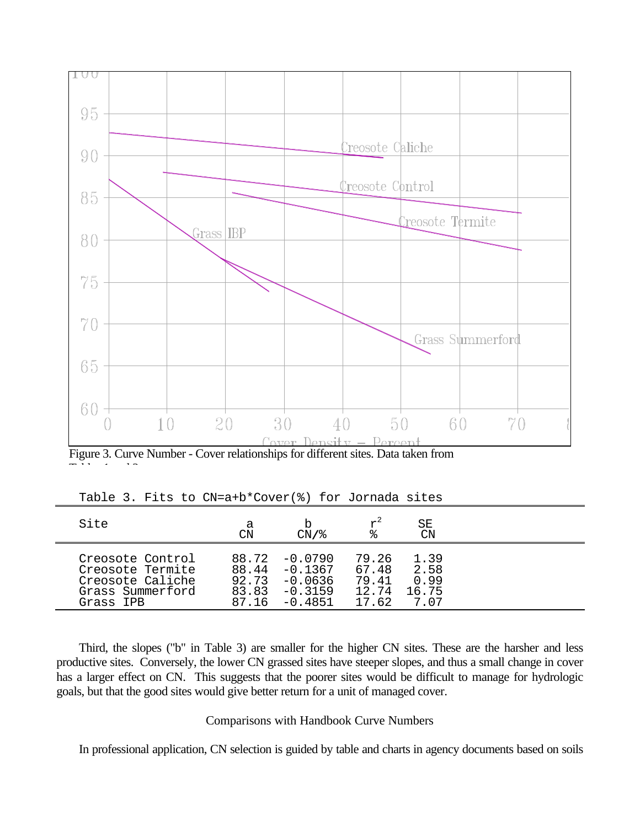

Figure 3. Curve Number - Cover relationships for different sites. Data taken from

Tables 1 and 3.

| Site             | а<br>CN | CN/%      | °≈    | SΕ<br>CΝ |  |
|------------------|---------|-----------|-------|----------|--|
| Creosote Control | 88.72   | $-0.0790$ | 79.26 | 1.39     |  |
| Creosote Termite | 88.44   | $-0.1367$ | 67.48 | 2.58     |  |
| Creosote Caliche | 92.73   | $-0.0636$ | 79.41 | 0.99     |  |
| Grass Summerford | 83.83   | $-0.3159$ | 12.74 | 16.75    |  |
| Grass IPR        | 87.16   | $-0.4851$ | 17.62 | 707      |  |

Table 3. Fits to CN=a+b\*Cover(%) for Jornada sites

Third, the slopes ("b" in Table 3) are smaller for the higher CN sites. These are the harsher and less productive sites. Conversely, the lower CN grassed sites have steeper slopes, and thus a small change in cover has a larger effect on CN. This suggests that the poorer sites would be difficult to manage for hydrologic goals, but that the good sites would give better return for a unit of managed cover.

## Comparisons with Handbook Curve Numbers

In professional application, CN selection is guided by table and charts in agency documents based on soils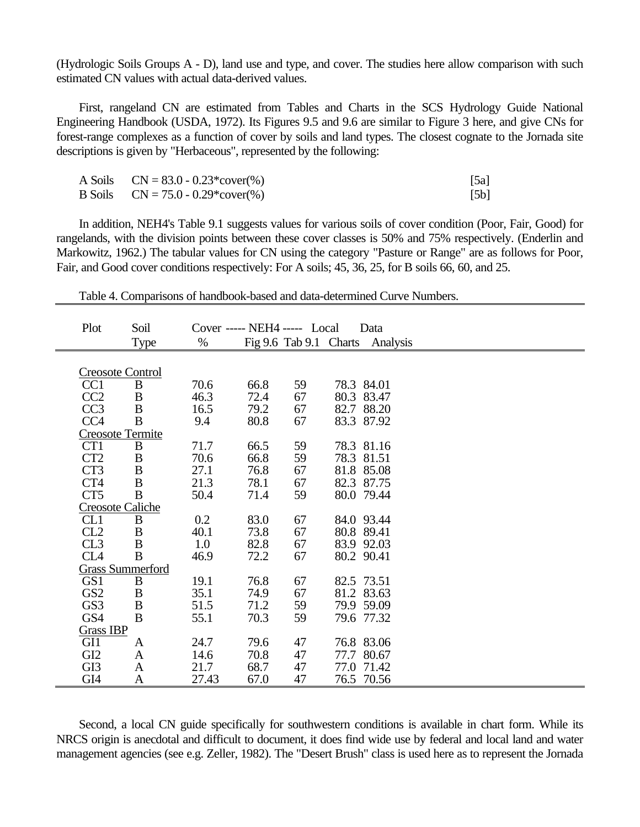(Hydrologic Soils Groups A - D), land use and type, and cover. The studies here allow comparison with such estimated CN values with actual data-derived values.

First, rangeland CN are estimated from Tables and Charts in the SCS Hydrology Guide National Engineering Handbook (USDA, 1972). Its Figures 9.5 and 9.6 are similar to Figure 3 here, and give CNs for forest-range complexes as a function of cover by soils and land types. The closest cognate to the Jornada site descriptions is given by "Herbaceous", represented by the following:

| A Soils $CN = 83.0 - 0.23*cover(\% )$ | [5a] |
|---------------------------------------|------|
| B Soils $CN = 75.0 - 0.29*cover(\%)$  | [5b] |

In addition, NEH4's Table 9.1 suggests values for various soils of cover condition (Poor, Fair, Good) for rangelands, with the division points between these cover classes is 50% and 75% respectively. (Enderlin and Markowitz, 1962.) The tabular values for CN using the category "Pasture or Range" are as follows for Poor, Fair, and Good cover conditions respectively: For A soils; 45, 36, 25, for B soils 66, 60, and 25.

| Plot             | Soil                    |       | Cover ----- NEH4 ----- Local |                        | Data          |  |  |
|------------------|-------------------------|-------|------------------------------|------------------------|---------------|--|--|
|                  | Type                    | $\%$  |                              | Fig 9.6 Tab 9.1 Charts | Analysis      |  |  |
|                  |                         |       |                              |                        |               |  |  |
|                  | <b>Creosote Control</b> |       |                              |                        |               |  |  |
| CC <sub>1</sub>  | B                       | 70.6  | 66.8                         | 59                     | 78.3 84.01    |  |  |
| CC2              | B                       | 46.3  | 72.4                         | 67                     | 80.3<br>83.47 |  |  |
| CC <sub>3</sub>  | $\, {\bf B}$            | 16.5  | 79.2                         | 67                     | 88.20<br>82.7 |  |  |
| CC <sub>4</sub>  | B                       | 9.4   | 80.8                         | 67                     | 83.3 87.92    |  |  |
|                  | Creosote Termite        |       |                              |                        |               |  |  |
| CT <sub>1</sub>  | B                       | 71.7  | 66.5                         | 59                     | 78.3 81.16    |  |  |
| CT2              | $\, {\bf B}$            | 70.6  | 66.8                         | 59                     | 78.3 81.51    |  |  |
| CT3              | $\, {\bf B}$            | 27.1  | 76.8                         | 67                     | 81.8 85.08    |  |  |
| CT4              | $\, {\bf B}$            | 21.3  | 78.1                         | 67                     | 82.3 87.75    |  |  |
| CT <sub>5</sub>  | B                       | 50.4  | 71.4                         | 59                     | 80.0 79.44    |  |  |
|                  | <b>Creosote Caliche</b> |       |                              |                        |               |  |  |
| CL <sub>1</sub>  | B                       | 0.2   | 83.0                         | 67                     | 84.0 93.44    |  |  |
| CL2              | B                       | 40.1  | 73.8                         | 67                     | 80.8 89.41    |  |  |
| CL3              | B                       | 1.0   | 82.8                         | 67                     | 83.9 92.03    |  |  |
| CL <sub>4</sub>  | B                       | 46.9  | 72.2                         | 67                     | 80.2 90.41    |  |  |
|                  | <b>Grass Summerford</b> |       |                              |                        |               |  |  |
| GS1              | B                       | 19.1  | 76.8                         | 67                     | 82.5 73.51    |  |  |
| GS <sub>2</sub>  | $\, {\bf B}$            | 35.1  | 74.9                         | 67                     | 81.2 83.63    |  |  |
| GS3              | $\, {\bf B}$            | 51.5  | 71.2                         | 59                     | 79.9 59.09    |  |  |
| GS4              | B                       | 55.1  | 70.3                         | 59                     | 79.6 77.32    |  |  |
| <b>Grass IBP</b> |                         |       |                              |                        |               |  |  |
| GI1              | A                       | 24.7  | 79.6                         | 47                     | 76.8 83.06    |  |  |
| GI <sub>2</sub>  | A                       | 14.6  | 70.8                         | 47                     | 77.7<br>80.67 |  |  |
| GI <sub>3</sub>  | A                       | 21.7  | 68.7                         | 47                     | 77.0 71.42    |  |  |
| GI4              | A                       | 27.43 | 67.0                         | 47                     | 76.5 70.56    |  |  |

Table 4. Comparisons of handbook-based and data-determined Curve Numbers.

Second, a local CN guide specifically for southwestern conditions is available in chart form. While its NRCS origin is anecdotal and difficult to document, it does find wide use by federal and local land and water management agencies (see e.g. Zeller, 1982). The "Desert Brush" class is used here as to represent the Jornada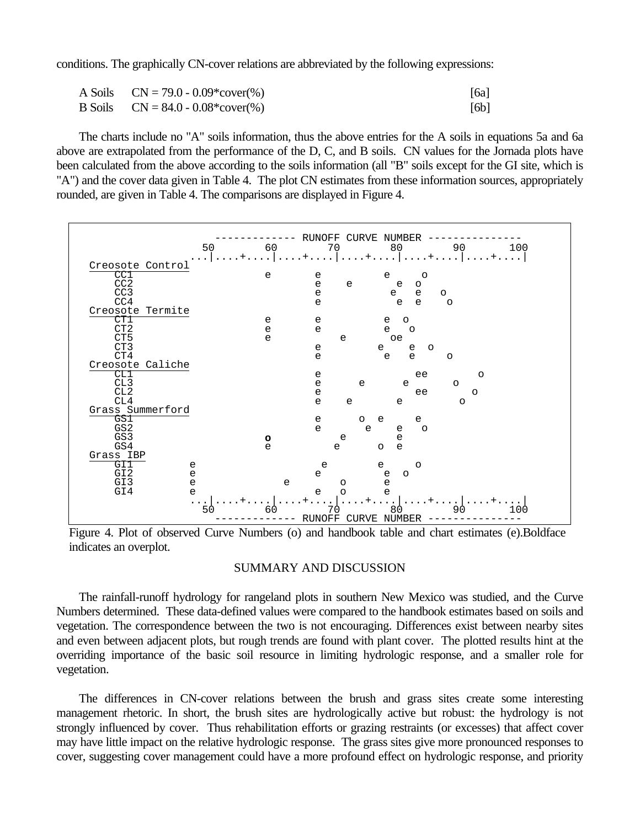conditions. The graphically CN-cover relations are abbreviated by the following expressions:

| A Soils $CN = 79.0 - 0.09*cover(\%)$   | [6a] |
|----------------------------------------|------|
| B Soils $CN = 84.0 - 0.08 * cover(\%)$ | [6b] |

The charts include no "A" soils information, thus the above entries for the A soils in equations 5a and 6a above are extrapolated from the performance of the D, C, and B soils. CN values for the Jornada plots have been calculated from the above according to the soils information (all "B" soils except for the GI site, which is "A") and the cover data given in Table 4. The plot CN estimates from these information sources, appropriately rounded, are given in Table 4. The comparisons are displayed in Figure 4.



Figure 4. Plot of observed Curve Numbers (o) and handbook table and chart estimates (e).Boldface indicates an overplot.

#### SUMMARY AND DISCUSSION

The rainfall-runoff hydrology for rangeland plots in southern New Mexico was studied, and the Curve Numbers determined. These data-defined values were compared to the handbook estimates based on soils and vegetation. The correspondence between the two is not encouraging. Differences exist between nearby sites and even between adjacent plots, but rough trends are found with plant cover. The plotted results hint at the overriding importance of the basic soil resource in limiting hydrologic response, and a smaller role for vegetation.

The differences in CN-cover relations between the brush and grass sites create some interesting management rhetoric. In short, the brush sites are hydrologically active but robust: the hydrology is not strongly influenced by cover. Thus rehabilitation efforts or grazing restraints (or excesses) that affect cover may have little impact on the relative hydrologic response. The grass sites give more pronounced responses to cover, suggesting cover management could have a more profound effect on hydrologic response, and priority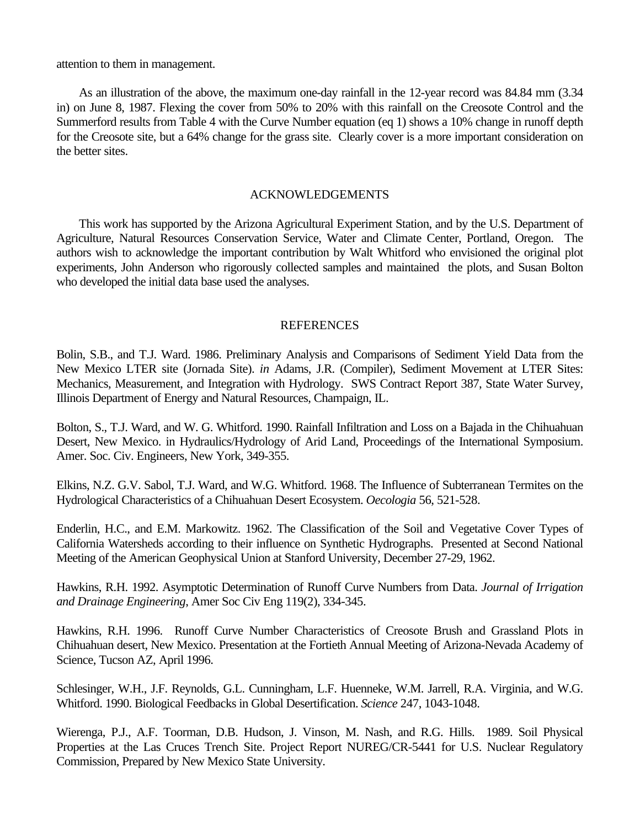attention to them in management.

As an illustration of the above, the maximum one-day rainfall in the 12-year record was 84.84 mm (3.34 in) on June 8, 1987. Flexing the cover from 50% to 20% with this rainfall on the Creosote Control and the Summerford results from Table 4 with the Curve Number equation (eq 1) shows a 10% change in runoff depth for the Creosote site, but a 64% change for the grass site. Clearly cover is a more important consideration on the better sites.

## ACKNOWLEDGEMENTS

This work has supported by the Arizona Agricultural Experiment Station, and by the U.S. Department of Agriculture, Natural Resources Conservation Service, Water and Climate Center, Portland, Oregon. The authors wish to acknowledge the important contribution by Walt Whitford who envisioned the original plot experiments, John Anderson who rigorously collected samples and maintained the plots, and Susan Bolton who developed the initial data base used the analyses.

## **REFERENCES**

Bolin, S.B., and T.J. Ward. 1986. Preliminary Analysis and Comparisons of Sediment Yield Data from the New Mexico LTER site (Jornada Site). *in* Adams, J.R. (Compiler), Sediment Movement at LTER Sites: Mechanics, Measurement, and Integration with Hydrology. SWS Contract Report 387, State Water Survey, Illinois Department of Energy and Natural Resources, Champaign, IL.

Bolton, S., T.J. Ward, and W. G. Whitford. 1990. Rainfall Infiltration and Loss on a Bajada in the Chihuahuan Desert, New Mexico. in Hydraulics/Hydrology of Arid Land, Proceedings of the International Symposium. Amer. Soc. Civ. Engineers, New York, 349-355.

Elkins, N.Z. G.V. Sabol, T.J. Ward, and W.G. Whitford. 1968. The Influence of Subterranean Termites on the Hydrological Characteristics of a Chihuahuan Desert Ecosystem. *Oecologia* 56, 521-528.

Enderlin, H.C., and E.M. Markowitz. 1962. The Classification of the Soil and Vegetative Cover Types of California Watersheds according to their influence on Synthetic Hydrographs. Presented at Second National Meeting of the American Geophysical Union at Stanford University, December 27-29, 1962.

Hawkins, R.H. 1992. Asymptotic Determination of Runoff Curve Numbers from Data. *Journal of Irrigation and Drainage Engineering*, Amer Soc Civ Eng 119(2), 334-345.

Hawkins, R.H. 1996. Runoff Curve Number Characteristics of Creosote Brush and Grassland Plots in Chihuahuan desert, New Mexico. Presentation at the Fortieth Annual Meeting of Arizona-Nevada Academy of Science, Tucson AZ, April 1996.

Schlesinger, W.H., J.F. Reynolds, G.L. Cunningham, L.F. Huenneke, W.M. Jarrell, R.A. Virginia, and W.G. Whitford. 1990. Biological Feedbacks in Global Desertification. *Science* 247, 1043-1048.

Wierenga, P.J., A.F. Toorman, D.B. Hudson, J. Vinson, M. Nash, and R.G. Hills. 1989. Soil Physical Properties at the Las Cruces Trench Site. Project Report NUREG/CR-5441 for U.S. Nuclear Regulatory Commission, Prepared by New Mexico State University.